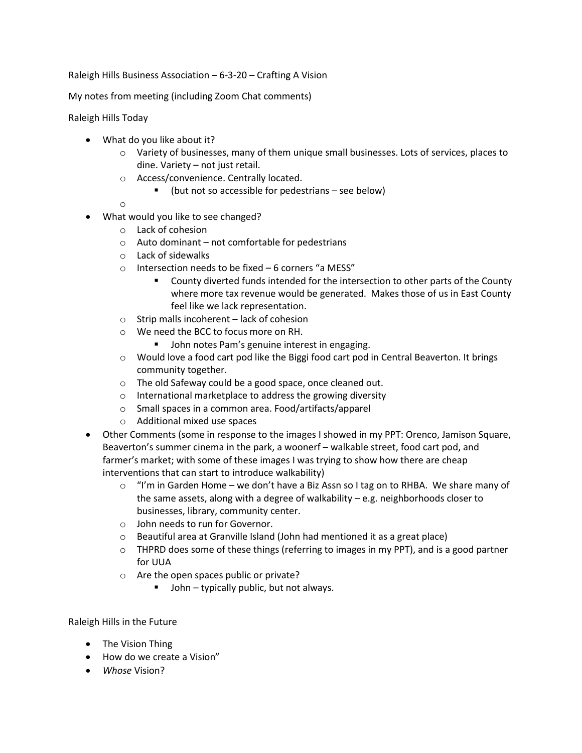Raleigh Hills Business Association – 6-3-20 – Crafting A Vision

My notes from meeting (including Zoom Chat comments)

Raleigh Hills Today

- What do you like about it?
	- $\circ$  Variety of businesses, many of them unique small businesses. Lots of services, places to dine. Variety – not just retail.
	- o Access/convenience. Centrally located.
		- (but not so accessible for pedestrians see below)

o

- What would you like to see changed?
	- o Lack of cohesion
	- o Auto dominant not comfortable for pedestrians
	- o Lack of sidewalks
	- o Intersection needs to be fixed 6 corners "a MESS"
		- County diverted funds intended for the intersection to other parts of the County where more tax revenue would be generated. Makes those of us in East County feel like we lack representation.
	- o Strip malls incoherent lack of cohesion
	- o We need the BCC to focus more on RH.
		- John notes Pam's genuine interest in engaging.
	- o Would love a food cart pod like the Biggi food cart pod in Central Beaverton. It brings community together.
	- o The old Safeway could be a good space, once cleaned out.
	- o International marketplace to address the growing diversity
	- o Small spaces in a common area. Food/artifacts/apparel
	- o Additional mixed use spaces
- Other Comments (some in response to the images I showed in my PPT: Orenco, Jamison Square, Beaverton's summer cinema in the park, a woonerf – walkable street, food cart pod, and farmer's market; with some of these images I was trying to show how there are cheap interventions that can start to introduce walkability)
	- o "I'm in Garden Home we don't have a Biz Assn so I tag on to RHBA. We share many of the same assets, along with a degree of walkability – e.g. neighborhoods closer to businesses, library, community center.
	- o John needs to run for Governor.
	- o Beautiful area at Granville Island (John had mentioned it as a great place)
	- $\circ$  THPRD does some of these things (referring to images in my PPT), and is a good partner for UUA
	- o Are the open spaces public or private?
		- John typically public, but not always.

## Raleigh Hills in the Future

- The Vision Thing
- How do we create a Vision"
- *Whose* Vision?